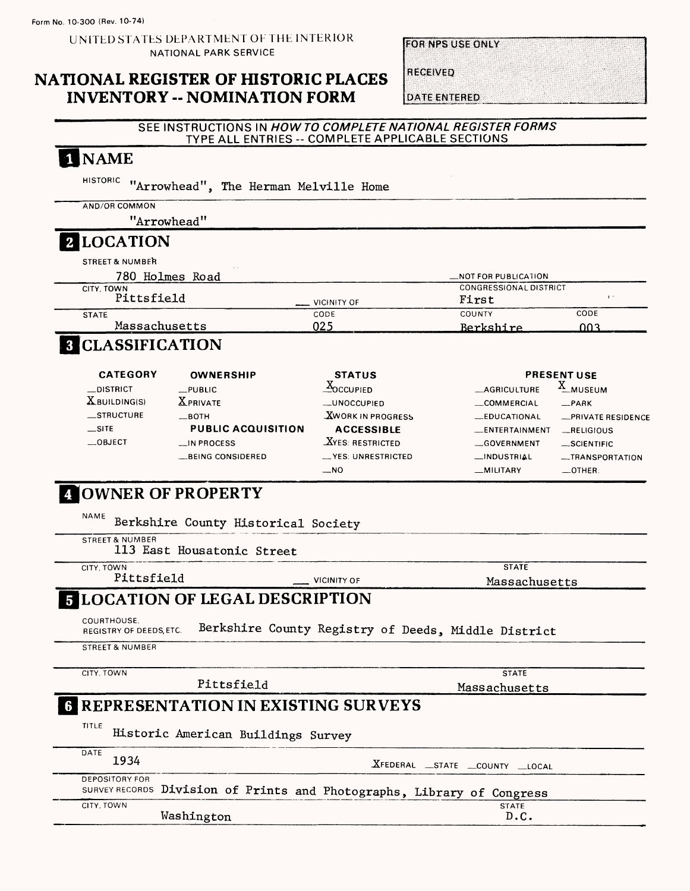UNITED STATES DEPARTMENT OF THE INTERIOR NATIONAL PARK SERVICE

### **NATIONAL REGISTER OF HISTORIC PLACES INVENTORY -- NOMINATION FORM**

**FOR NPS USE ONLY** 

**RECEIVED** 

**DATE ENTERED** 

#### SEE INSTRUCTIONS IN *HOW TO COMPLETE NATIONAL REGISTER FORMS*  TYPE ALL ENTRIES -- COMPLETE APPLICABLE SECTIONS

| <b>1 NAME</b>                                                                                                                                                                                      |                                                                                                                                         |                                                                                                                              |                                                                                                          |
|----------------------------------------------------------------------------------------------------------------------------------------------------------------------------------------------------|-----------------------------------------------------------------------------------------------------------------------------------------|------------------------------------------------------------------------------------------------------------------------------|----------------------------------------------------------------------------------------------------------|
| <b>HISTORIC</b><br>"Arrowhead", The Herman Melville Home                                                                                                                                           |                                                                                                                                         |                                                                                                                              |                                                                                                          |
| AND/OR COMMON                                                                                                                                                                                      |                                                                                                                                         |                                                                                                                              |                                                                                                          |
| "Arrowhead"                                                                                                                                                                                        |                                                                                                                                         |                                                                                                                              |                                                                                                          |
| 2 LOCATION                                                                                                                                                                                         |                                                                                                                                         |                                                                                                                              |                                                                                                          |
| <b>STREET &amp; NUMBER</b>                                                                                                                                                                         |                                                                                                                                         |                                                                                                                              |                                                                                                          |
| 780 Holmes Road                                                                                                                                                                                    |                                                                                                                                         | <b>NOT FOR PUBLICATION</b>                                                                                                   |                                                                                                          |
| CITY, TOWN<br>Pittsfield                                                                                                                                                                           | <b>VICINITY OF</b>                                                                                                                      | <b>CONGRESSIONAL DISTRICT</b><br>First                                                                                       | $\Gamma$ .                                                                                               |
| <b>STATE</b>                                                                                                                                                                                       | CODE                                                                                                                                    | <b>COUNTY</b>                                                                                                                | CODE                                                                                                     |
| Massachusetts                                                                                                                                                                                      | 025                                                                                                                                     | Berkshire                                                                                                                    | 003.                                                                                                     |
| <b>3 CLASSIFICATION</b>                                                                                                                                                                            |                                                                                                                                         |                                                                                                                              |                                                                                                          |
| <b>CATEGORY</b><br><b>OWNERSHIP</b>                                                                                                                                                                | <b>STATUS</b>                                                                                                                           |                                                                                                                              | <b>PRESENT USE</b>                                                                                       |
| _DISTRICT<br>$L$ PUBLIC<br>$X$ BUILDING(S)<br><b>X</b> PRIVATE<br>_STRUCTURE<br>$\equiv$ BOTH<br>$\equiv$ SITE<br><b>PUBLIC ACQUISITION</b><br>$\equiv$ OBJECT<br>__IN PROCESS<br>BEING CONSIDERED | $X_0$ CCUPIED<br>__UNOCCUPIED<br><b>XWORK IN PROGRESS</b><br><b>ACCESSIBLE</b><br><b>XYES: RESTRICTED</b><br>__YES: UNRESTRICTED<br>_NO | <b>_AGRICULTURE</b><br><b>COMMERCIAL</b><br><b>EDUCATIONAL</b><br>__ENTERTAINMENT<br>GOVERNMENT<br>__INDUSTRIAL<br>_MILITARY | X_MUSEUM<br>$-$ PARK<br>-PRIVATE RESIDENCE<br>RELIGIOUS<br>-SCIENTIFIC<br>__TRANSPORTATION<br>$-$ OTHER: |
| Berkshire County Historical Society<br><b>STREET &amp; NUMBER</b><br>113 East Housatonic Street<br>CITY, TOWN                                                                                      |                                                                                                                                         | <b>STATE</b>                                                                                                                 |                                                                                                          |
| Pittsfield                                                                                                                                                                                         | <b>VICINITY OF</b>                                                                                                                      | Massachusetts                                                                                                                |                                                                                                          |
| <b>5 LOCATION OF LEGAL DESCRIPTION</b><br>COURTHOUSE.<br>REGISTRY OF DEEDS, ETC.<br><b>STREET &amp; NUMBER</b>                                                                                     | Berkshire County Registry of Deeds, Middle District                                                                                     |                                                                                                                              |                                                                                                          |
|                                                                                                                                                                                                    |                                                                                                                                         | <b>STATE</b>                                                                                                                 |                                                                                                          |
| CITY, TOWN                                                                                                                                                                                         |                                                                                                                                         |                                                                                                                              |                                                                                                          |
| Pittsfield                                                                                                                                                                                         |                                                                                                                                         | Massachusetts                                                                                                                |                                                                                                          |
| TITLE<br>Historic American Buildings Survey                                                                                                                                                        |                                                                                                                                         |                                                                                                                              |                                                                                                          |
| <b>6 REPRESENTATION IN EXISTING SURVEYS</b><br>DATE<br>1934                                                                                                                                        |                                                                                                                                         | XFEDERAL _STATE _COUNTY _LOCAL                                                                                               |                                                                                                          |
| <b>DEPOSITORY FOR</b><br>SURVEY RECORDS Division of Prints and Photographs, Library of Congress<br>CITY, TOWN                                                                                      |                                                                                                                                         | <b>STATE</b>                                                                                                                 |                                                                                                          |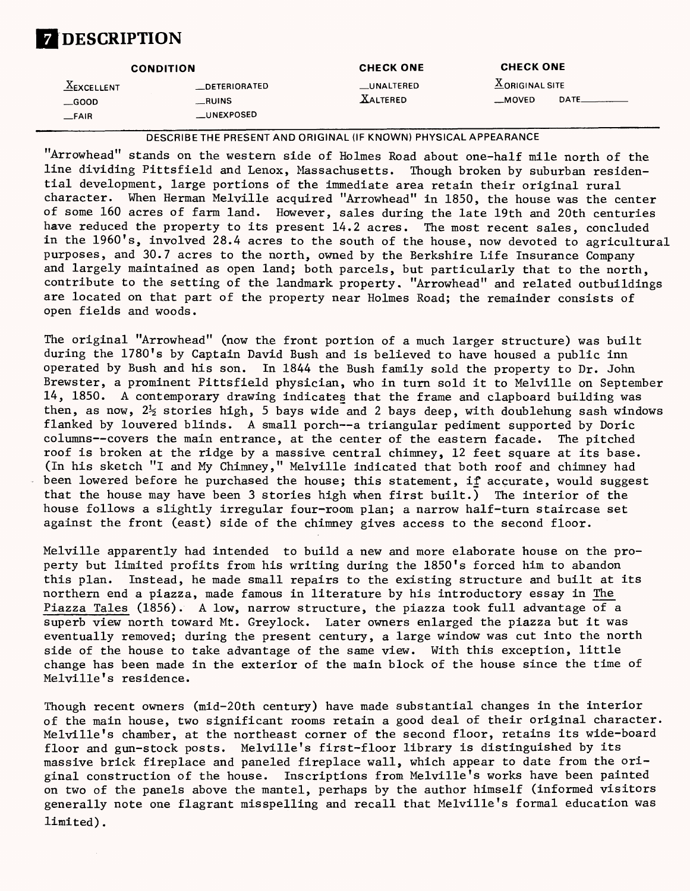# **DESCRIPTION**

|               | <b>CONDITION</b>     | <b>CHECK ONE</b> | <b>CHECK ONE</b>                     |  |
|---------------|----------------------|------------------|--------------------------------------|--|
| $X$ EXCELLENT | <b>_DETERIORATED</b> | __UNALTERED      | $\underline{\text{X}}$ ORIGINAL SITE |  |
| $\equiv$ GOOD | __RUINS              | <b>XALTERED</b>  | DATE_<br>$M$ OVED                    |  |
| $-$ FAIR      | __UNEXPOSED          |                  |                                      |  |

DESCRIBETHE PRESENT AND ORIGINAL (IF KNOWN) PHYSICAL APPEARANCE

"Arrowhead" stands on the western side of Holmes Road about one-half mile north of the line dividing Pittsfield and Lenox, Massachusetts. Though broken by suburban residential development, large portions of the immediate area retain their original rural character. When Herman Melville acquired "Arrowhead" in 1850, the house was the center of some 160 acres of farm land. However, sales during the late 19th and 20th centuries have reduced the property to its present 14.2 acres. The most recent sales, concluded in the 1960's, involved 28.4 acres to the south of the house, now devoted to agricultural purposes, and 30.7 acres to the north, owned by the Berkshire Life Insurance Company and largely maintained as open land; both parcels, but particularly that to the north, contribute to the setting of the landmark property. "Arrowhead" and related outbuildings are located on that part of the property near Holmes Road; the remainder consists of open fields and woods.

The original "Arrowhead" (now the front portion of a much larger structure) was built during the 1780's by Captain David Bush and is believed to have housed a public inn operated by Bush and his son. In 1844 the Bush family sold the property to Dr. John Brewster, a prominent Pittsfield physician, who in turn sold it to Melville on September 14, 1850. A contemporary drawing indicates that the frame and clapboard building was then, as now,  $2\frac{1}{2}$  stories high, 5 bays wide and 2 bays deep, with doublehung sash windows flanked by louvered blinds. A small porch—a triangular pediment supported by Doric columns—covers the main entrance, at the center of the eastern facade. The pitched roof is broken at the ridge by a massive central chimney, 12 feet square at its base. (In his sketch "I and My Chimney," Melville indicated that both roof and chimney had been lowered before he purchased the house; this statement, if accurate, would suggest that the house may have been 3 stories high when first built.) The interior of the house follows a slightly irregular four-room plan; a narrow half-turn staircase set against the front (east) side of the chimney gives access to the second floor.

Melville apparently had intended to build a new and more elaborate house on the property but limited profits from his writing during the 1850's forced him to abandon this plan. Instead, he made small repairs to the existing structure and built at its northern end a piazza, made famous in literature by his introductory essay in The Piazza Tales (1856). A low, narrow structure, the piazza took full advantage of a superb view north toward Mt. Greylock. Later owners enlarged the piazza but it was eventually removed; during the present century, a large window was cut into the north side of the house to take advantage of the same view. With this exception, little change has been made in the exterior of the main block of the house since the time of Melville's residence.

Though recent owners (mid-20th century) have made substantial changes in the interior of the main house, two significant rooms retain a good deal of their original character. Melville's chamber, at the northeast corner of the second floor, retains its wide-board floor and gun-stock posts. Melville's first-floor library is distinguished by its massive brick fireplace and paneled fireplace wall, which appear to date from the original construction of the house. Inscriptions from Melville's works have been painted on two of the panels above the mantel, perhaps by the author himself (informed visitors generally note one flagrant misspelling and recall that Melville's formal education was limited).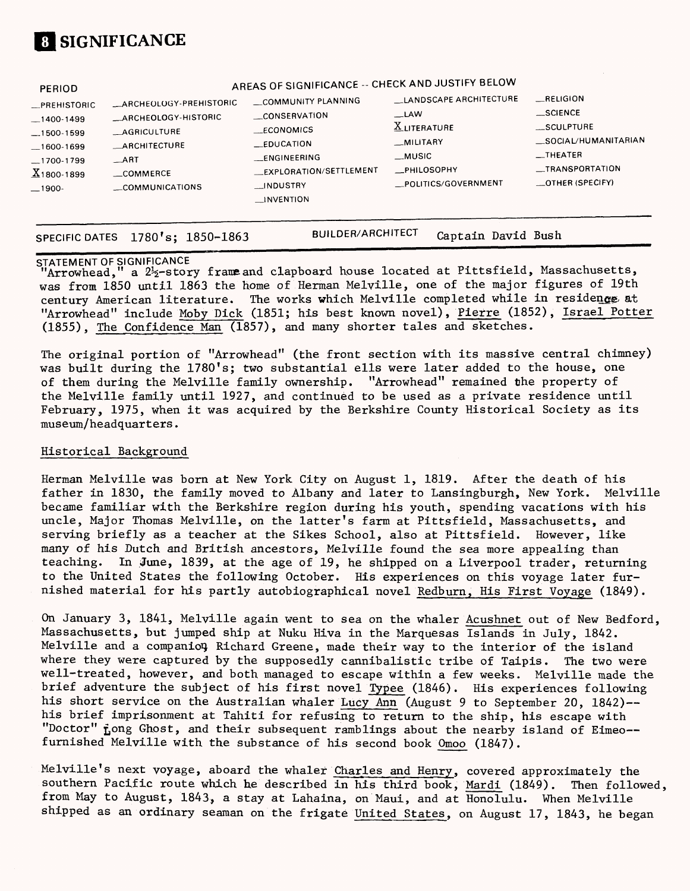

| __SCIENCE<br>$-LAW$<br>_CONSERVATION<br>ARCHEOLOGY-HISTORIC<br>$-1400-1499$<br><b>XLITERATURE</b><br>SCULPTURE<br>ECONOMICS<br><b>AGRICULTURE</b><br>$-1500-1599$<br><b>MILITARY</b><br>EDUCATION<br><b>ARCHITECTURE</b><br>$-1600-1699$<br>$\equiv$ THEATER<br>__MUSIC<br><b>ENGINEERING</b><br>$\overline{\phantom{a}}$ ART<br>$-1700-1799$<br>_TRANSPORTATION<br><b>_PHILOSOPHY</b><br>_EXPLORATION/SETTLEMENT<br>$X_{1800-1899}$<br>COMMERCE<br>_OTHER (SPECIFY)<br>_POLITICS/GOVERNMENT<br>INDUSTRY<br>COMMUNICATIONS<br>$-1900-$<br>INVENTION | PERIOD<br><b>ARCHEOLOGY-PREHISTORIC</b><br><b>PREHISTORIC</b> | AREAS OF SIGNIFICANCE -- CHECK AND JUSTIFY BELOW<br>COMMUNITY PLANNING | <b>LANDSCAPE ARCHITECTURE</b> | <b>RELIGION</b><br>_SOCIAL/HUMANITARIAN |
|-----------------------------------------------------------------------------------------------------------------------------------------------------------------------------------------------------------------------------------------------------------------------------------------------------------------------------------------------------------------------------------------------------------------------------------------------------------------------------------------------------------------------------------------------------|---------------------------------------------------------------|------------------------------------------------------------------------|-------------------------------|-----------------------------------------|
|-----------------------------------------------------------------------------------------------------------------------------------------------------------------------------------------------------------------------------------------------------------------------------------------------------------------------------------------------------------------------------------------------------------------------------------------------------------------------------------------------------------------------------------------------------|---------------------------------------------------------------|------------------------------------------------------------------------|-------------------------------|-----------------------------------------|

SPECIFIC DATES 1780's; 1850-1863 BUILDER/ARCHITECT Captain David Bush

STATEMENT OF SIGNIFICANCE<br>"Arrowhead," a 2<sup>1</sup>2-stor a  $2\frac{1}{2}$ -story frame and clapboard house located at Pittsfield, Massachusetts, was from 1850 until 1863 the home of Herman Melville, one of the major figures of 19th century American literature. The works which Melville completed while in residence at "Arrowhead" include Moby Dick (1851; his best known novel), Pierre (1852), Israel Potter (1855), The Confidence Man (1857), and many shorter tales and sketches.

The original portion of "Arrowhead" (the front section with its massive central chimney) was built during the 1780's; two substantial ells were later added to the house, one of them during the Melville family ownership. "Arrowhead" remained the property of the Melville family until 1927, and continued to be used as a private residence until February, 1975, when it was acquired by the Berkshire County Historical Society as its museum/headquarters.

#### Historical Background

Herman Melville was born at New York City on August 1, 1819. After the death of his father in 1830, the family moved to Albany and later to Lansingburgh, New York. Melville became familiar with the Berkshire region during his youth, spending vacations with his uncle, Major Thomas Melville, on the latter's farm at Pittsfield, Massachusetts, and serving briefly as a teacher at the Sikes School, also at Pittsfield. However, like many of his Dutch and British ancestors, Melville found the sea more appealing than teaching. In June, 1839, at the age of 19, he shipped on a Liverpool trader, returning to the United States the following October. His experiences on this voyage later furnished material for his partly autobiographical novel Redburn, His First Voyage (1849).

On January 3, 1841, Melville again went to sea on the whaler Acushnet out of New Bedford, Massachusetts, but jumped ship at Nuku Hiva in the Marquesas Islands in July, 1842. Melville and a companion Richard Greene, made their way to the interior of the island where they were captured by the supposedly cannibalistic tribe of Taipis. The two were well-treated, however, and both managed to escape within a few weeks. Melville made the brief adventure the subject of his first novel Typee (1846). His experiences following his short service on the Australian whaler Lucy Ann (August 9 to September 20, 1842)-his brief imprisonment at Tahiti for refusing to return to the ship, his escape with "Doctor" fong Ghost, and their subsequent ramblings about the nearby island of Eimeo-furnished Melville with the substance of his second book Omoo (1847).

Melville's next voyage, aboard the whaler Charles and Henry, covered approximately the southern Pacific route which he described in his third book, Mardi (1849). Then followed, from Hay to August, 1843, a stay at Lahaina, on Maui, and at Honolulu. When Melville shipped as an ordinary seaman on the frigate United States, on August 17, 1843, he began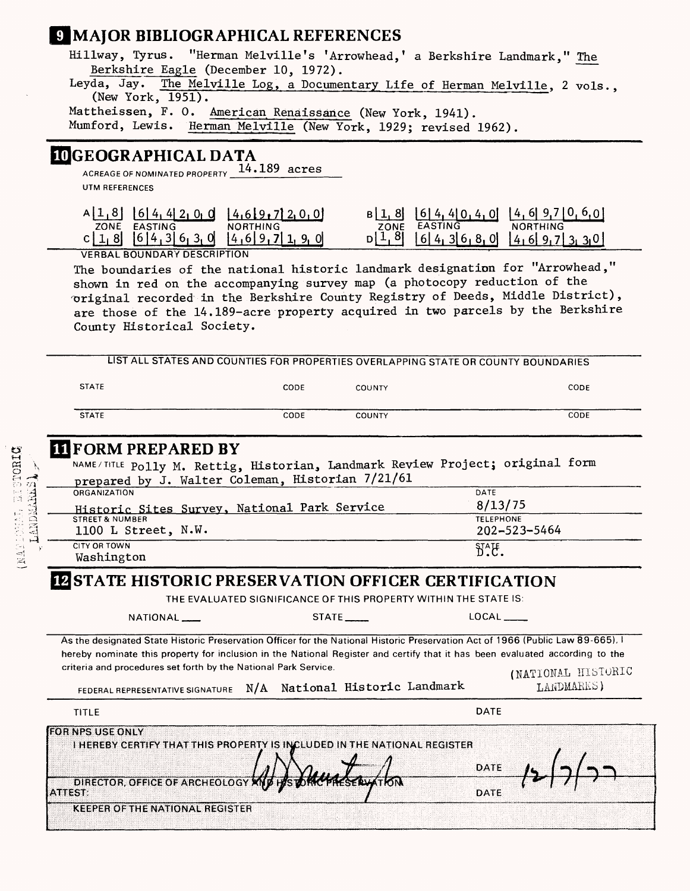### **MAJOR BIBLIOGRAPHICAL REFERENCES**

Hillway, Tyrus. "Herman Melville's 'Arrowhead, 1 a Berkshire Landmark," The Berkshire Eagle (December 10, 1972).

Leyda, Jay. The Melville Log, a Documentary Life of Herman Melville, 2 vols., (New York, 1951).

Mattheissen, F. 0. American Renaissance (New York, 1941). Mumford, Lewis. Herman Melville (New York, 1929; revised 1962).

### **LOGEOGRAPHICAL DATA**

ACREAGE OF NOMINATED PROPERTY 14.189 acres UTM REFERENCES

| . 61 41 41 27<br>vı u | 712.0.01<br>$14.6$ }9.7 |      | 4,01<br>ΙO<br>4.   | 4             |
|-----------------------|-------------------------|------|--------------------|---------------|
| ZONE<br>EASTING       | rhin c<br>NORT          | ZONE | <b>EASTING</b>     | ำหเพG<br>NOR1 |
| 01<br><u> ລະເ</u> ລ   | :4.61<br>9, O           | 8Ī   | . ol<br>' hi<br>д. | 3.301<br>41   |
|                       |                         |      |                    |               |

VERBAL BOUNDARY DESCRIPTION

The boundaries of the national historic landmark designation for "Arrowhead," shown in red on the accompanying survey map (a photocopy reduction of the original recorded in the Berkshire County Registry of Deeds, Middle District), are those of the 14.189-acre property acquired in two parcels by the Berkshire County Historical Society.

|                                                                                 |                                                                                                                                                                                                 |                            | LIST ALL STATES AND COUNTIES FOR PROPERTIES OVERLAPPING STATE OR COUNTY BOUNDARIES |                                  |
|---------------------------------------------------------------------------------|-------------------------------------------------------------------------------------------------------------------------------------------------------------------------------------------------|----------------------------|------------------------------------------------------------------------------------|----------------------------------|
| <b>STATE</b>                                                                    | CODE                                                                                                                                                                                            | <b>COUNTY</b>              |                                                                                    | CODE                             |
| <b>STATE</b>                                                                    | CODE                                                                                                                                                                                            | <b>COUNTY</b>              |                                                                                    | CODE                             |
| <b>II FORM PREPARED BY</b>                                                      |                                                                                                                                                                                                 |                            |                                                                                    |                                  |
|                                                                                 | NAME/TITLE Polly M. Rettig, Historian, Landmark Review Project; original form                                                                                                                   |                            |                                                                                    |                                  |
|                                                                                 | prepared by J. Walter Coleman, Historian 7/21/61                                                                                                                                                |                            |                                                                                    |                                  |
| ORGANIZATION                                                                    |                                                                                                                                                                                                 |                            | DATE                                                                               |                                  |
| <b>STREET &amp; NUMBER</b>                                                      | Historic Sites Survey, National Park Service                                                                                                                                                    |                            | 8/13/75<br><b>TELEPHONE</b>                                                        |                                  |
| 1100 L Street, N.W.                                                             |                                                                                                                                                                                                 |                            | 202-523-5464                                                                       |                                  |
| <b>CITY OR TOWN</b>                                                             |                                                                                                                                                                                                 |                            | $\delta^{\prime\prime}$ .                                                          |                                  |
| Washington                                                                      |                                                                                                                                                                                                 |                            |                                                                                    |                                  |
|                                                                                 | <b>IZ STATE HISTORIC PRESERVATION OFFICER CERTIFICATION</b><br>THE EVALUATED SIGNIFICANCE OF THIS PROPERTY WITHIN THE STATE IS:                                                                 |                            |                                                                                    |                                  |
|                                                                                 |                                                                                                                                                                                                 |                            |                                                                                    |                                  |
| NATIONAL __                                                                     |                                                                                                                                                                                                 | $STATE$ <sub>____</sub>    | LOCAL                                                                              |                                  |
|                                                                                 | As the designated State Historic Preservation Officer for the National Historic Preservation Act of 1966 (Public Law 89-665).                                                                   |                            |                                                                                    |                                  |
|                                                                                 | hereby nominate this property for inclusion in the National Register and certify that it has been evaluated according to the<br>criteria and procedures set forth by the National Park Service. |                            |                                                                                    |                                  |
|                                                                                 |                                                                                                                                                                                                 |                            |                                                                                    |                                  |
| FEDERAL REPRESENTATIVE SIGNATURE                                                | N/A                                                                                                                                                                                             | National Historic Landmark |                                                                                    | (NATIONAL HISTORIC<br>LANDMARKS) |
| TITLE                                                                           |                                                                                                                                                                                                 |                            | DATE                                                                               |                                  |
| <b>FOR NPS USE ONLY</b><br>DIRECTOR, OFFICE OF ARCHEOLOGY KNJ<br><b>ATTEST:</b> | <b>I HEREBY CERTIFY THAT THIS PROPERTY IS INCLUDED IN THE NATIONAL REGISTER</b>                                                                                                                 |                            | DATE<br><b>DATE</b>                                                                |                                  |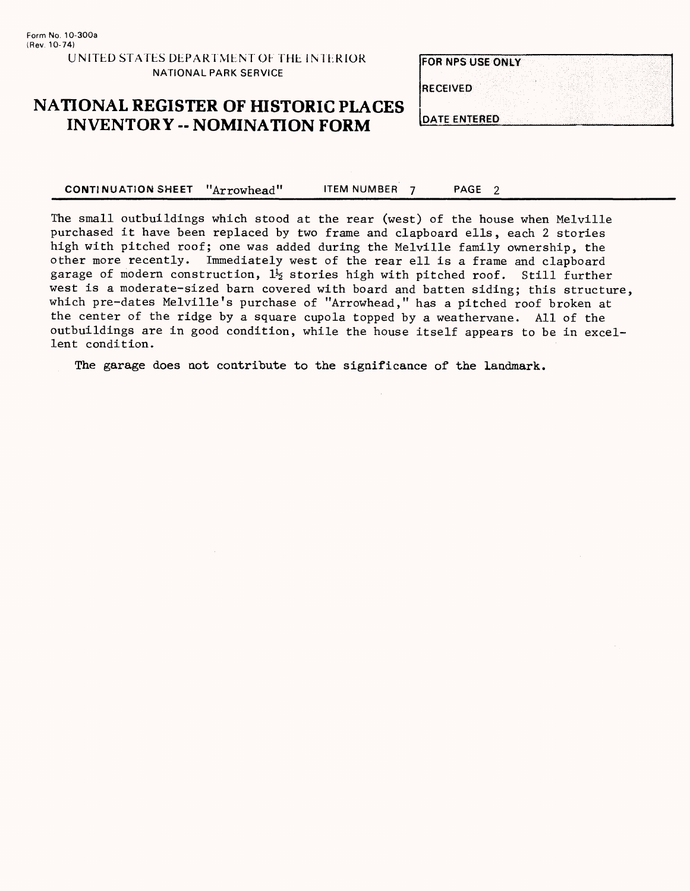### **FOR NPS USE ONLY**

**RECEIVED** 

### **NATIONAL REGISTER OF HISTORIC PLACES INVENTORY -- NOMINATION FORM** DATE ENTERED

CONTINUATION SHEET "Arrowhead" ITEM NUMBER 7 PAGE 2

The small outbuildings which stood at the rear (west) of the house when Melville purchased it have been replaced by two frame and clapboard ells, each 2 stories high with pitched roof; one was added during the Melville family ownership, the other more recently. Immediately west of the rear ell is a frame and clapboard garage of modern construction,  $1\frac{1}{2}$  stories high with pitched roof. Still further west is a moderate-sized barn covered with board and batten siding; this structure, which pre-dates Melville's purchase of "Arrowhead," has a pitched roof broken at the center of the ridge by a square cupola topped by a weathervane. All of the outbuildings are in good condition, while the house itself appears to be in excellent condition.

The garage does not contribute to the significance of the landmark.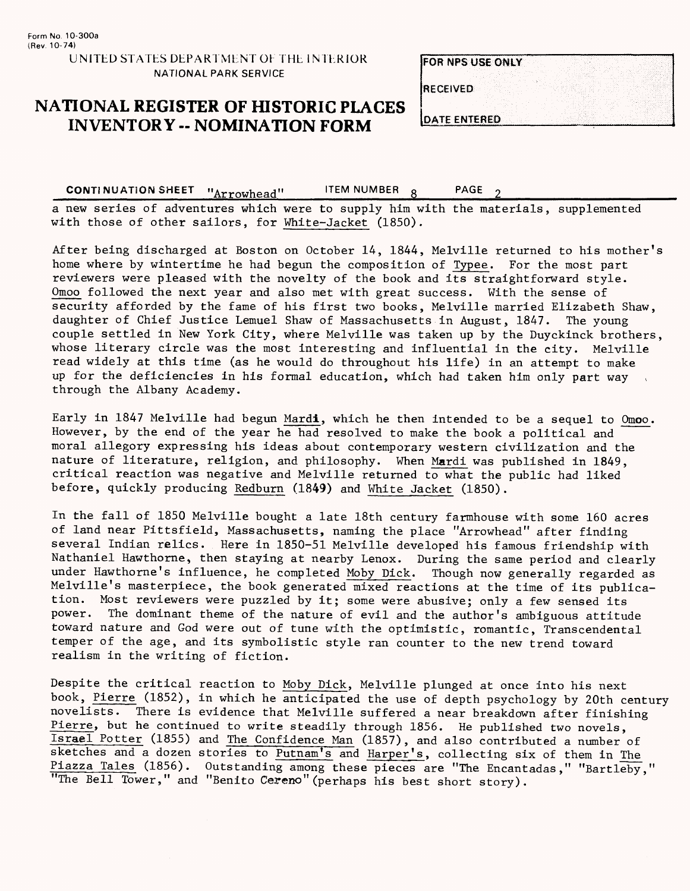### **NATIONAL REGISTER OF HISTORIC PLACES INVENTORY - NOMINATION FORM**

| <b>FOR NPS USE ONLY</b> |  |
|-------------------------|--|
|                         |  |
| <b>RECEIVED</b>         |  |
|                         |  |
| <b>IDATE ENTERED</b>    |  |

CONTINUATION SHEET "Arrowhead" LITEM NUMBER 8 PAGE a new series of adventures which were to supply him with the materials, supplemented with those of other sailors, for White-Jacket (1850).

After being discharged at Boston on October 14, 1844, Melville returned to his mother's home where by wintertime he had begun the composition of Typee. For the most part reviewers were pleased with the novelty of the book and its straightforward style. Qmoo followed the next year and also met with great success. With the sense of security afforded by the fame of his first two books, Melville married Elizabeth Shaw, daughter of Chief Justice Lemuel Shaw of Massachusetts in August, 1847. The young couple settled in New York City, where Melville was taken up by the Duyckinck brothers, whose literary circle was the most interesting and influential in the city. Melville read widely at this time (as he would do throughout his life) in an attempt to make up for the deficiencies in his formal education, which had taken him only part way through the Albany Academy.

Early in 1847 Melville had begun Mardi, which he then intended to be a sequel to Omoo. However, by the end of the year he had resolved to make the book a political and moral allegory expressing his ideas about contemporary western civilization and the nature of literature, religion, and philosophy. When Mardi was published in 1849, critical reaction was negative and Melville returned to what the public had liked before, quickly producing Redburn (1849) and White Jacket (1850).

In the fall of 1850 Melville bought a late 18th century farmhouse with some 160 acres of land near Pittsfield, Massachusetts, naming the place "Arrowhead" after finding several Indian relics. Here in 1850-51 Melville developed his famous friendship with Nathaniel Hawthorne, then staying at nearby Lenox. During the same period and clearly under Hawthorne's influence, he completed Moby Dick. Though now generally regarded as Melville's masterpiece, the book generated mixed reactions at the time of its publication. Most reviewers were puzzled by it; some were abusive; only a few sensed its power. The dominant theme of the nature of evil and the author's ambiguous attitude toward nature and God were out of tune with the optimistic, romantic, Transcendental temper of the age, and its symbolistic style ran counter to the new trend toward realism in the writing of fiction.

Despite the critical reaction to Moby Dick, Melville plunged at once into his next book, Pierre (1852), in which he anticipated the use of depth psychology by 20th century novelists. There is evidence that Melville suffered a near breakdown after finishing Pierre, but he continued to write steadily through 1856. He published two novels, Israel Potter (1855) and The Confidence Man (1857), and also contributed a number of sketches and a dozen stories to Putnam's and Harper's, collecting six of them in The  $\frac{\text{Piazza Tales}}{\text{Mastley}}$  . Outstanding among these pieces are "The Encantadas," "Bartleby," "The Bell Tower," and "Benito Cereno" (perhaps his best short story).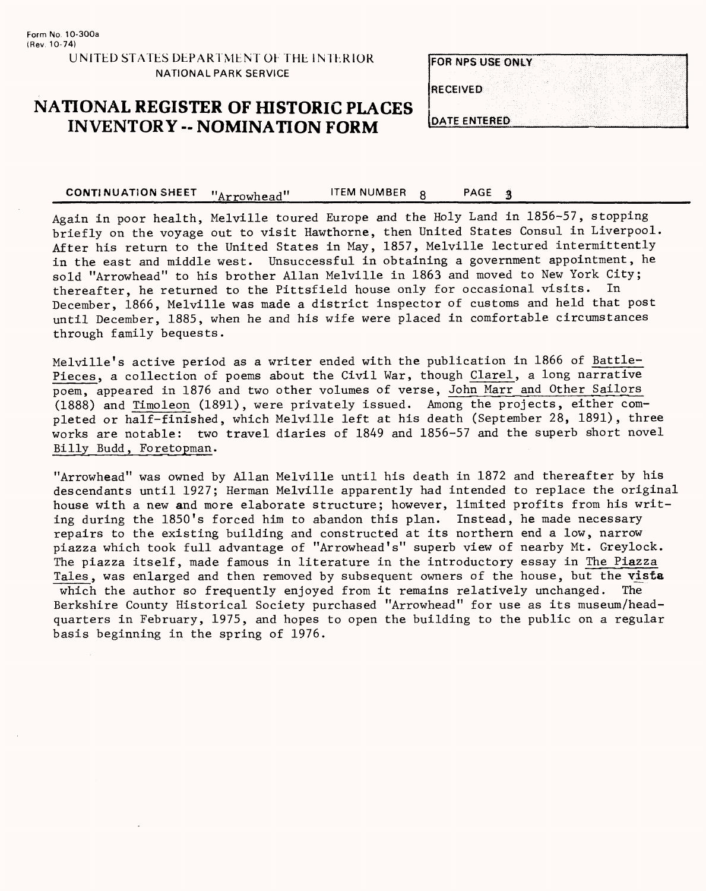**NATIONAL PARK SERVICE**

| <b>IRECEIVED</b> | <b>FOR NPS USE ONLY</b> |  |  |  |
|------------------|-------------------------|--|--|--|
|                  |                         |  |  |  |
|                  |                         |  |  |  |
|                  |                         |  |  |  |
|                  |                         |  |  |  |

## **NATIONAL REGISTER OF HISTORIC PLACES INVENTORY -- NOMINATION FORM DATE ENTERED**

CONTINUATION SHEET "Arrowhead" LITEM NUMBER 8 PAGE 3

Again in poor health, Melville toured Europe and the Holy Land in 1856-57, stopping briefly on the voyage out to visit Hawthorne, then United States Consul in Liverpool. After his return to the United States in May, 1857, Melville lectured intermittently in the east and middle west. Unsuccessful in obtaining a government appointment, he sold "Arrowhead" to his brother Allan Melville in 1863 and moved to New York City; thereafter, he returned to the Pittsfield house only for occasional visits. In December, 1866, Melville was made a district inspector of customs and held that post until December, 1885, when he and his wife were placed in comfortable circumstances through family bequests.

Melville's active period as a writer ended with the publication in 1866 of Battle-Pieces, a collection of poems about the Civil War, though Clarel, a long narrative poem, appeared in 1876 and two other volumes of verse, John. Marr and Other Sailors (1888) and Timoleon (1891), were privately issued. Among the projects, either completed or half-finished, which Melville left at his death (September 28, 1891), three works are notable: two travel diaries of 1849 and 1856-57 and the superb short novel Billy Budd, Foretopman.

"Arrowhead" was owned by Allan Melville until his death in 1872 and thereafter by his descendants until 1927; Herman Melville apparently had intended to replace the original house with a new and more elaborate structure; however, limited profits from his writing during the 1850's forced him to abandon this plan. Instead, he made necessary repairs to the existing building and constructed at its northern end a low, narrow piazza which took full advantage of "Arrowhead's" superb view of nearby Mt. Greylock. The piazza itself, made famous in literature in the introductory essay in The Piazza Tales, was enlarged and then removed by subsequent owners of the house, but the vista<br>which the author so frequently enjoyed from it remains relatively unchanged. The which the author so frequently enjoyed from it remains relatively unchanged. Berkshire County Historical Society purchased "Arrowhead" for use as its museum/headquarters in February, 1975, and hopes to open the building to the public on a regular basis beginning in the spring of 1976.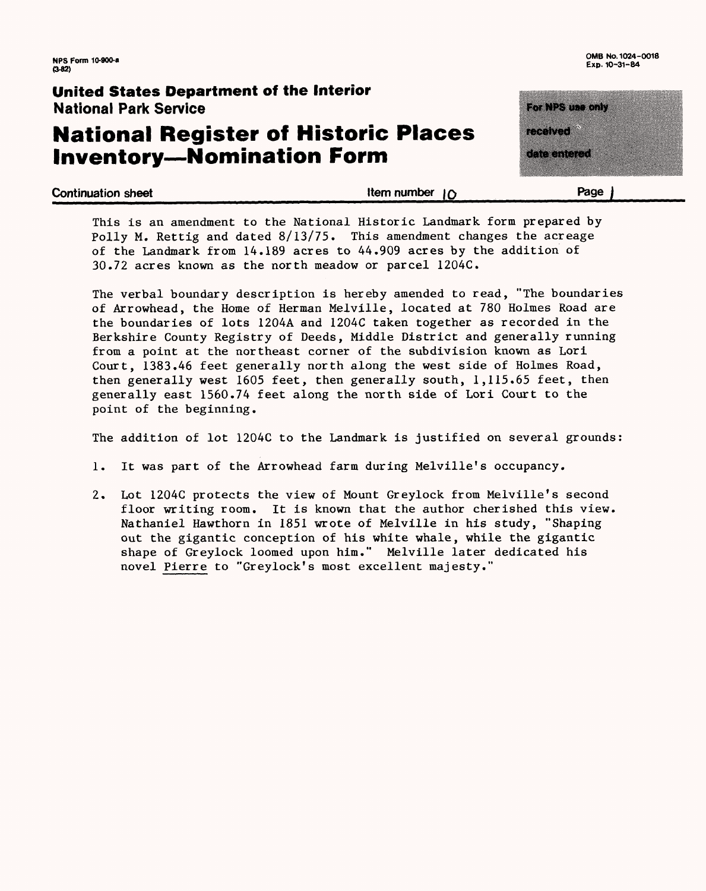### **United States Department of the Interior** National Park Service

# **National Register of Historic Places Inventory—Nomination Form**

**Exp. 10-31-84**

mente de la construcción de la construcción de la construcción de la construcción de la construcción de la con<br>Construcción de la construcción de la construcción de la construcción de la construcción de la construcción de **Experimental Construction** 

EN DRAGO DE

**Continuation sheet\_\_\_\_\_\_\_\_\_\_\_\_\_\_\_\_\_\_\_\_\_Item number |p\_\_\_\_\_\_\_\_\_\_\_\_Page f**

This is an amendment to the National Historic Landmark form prepared by Polly M. Rettig and dated  $8/13/75$ . This amendment changes the acreage of the Landmark from 14.189 acres to 44.909 acres by the addition of 30.72 acres known as the north meadow or parcel 1204C.

The verbal boundary description is hereby amended to read, "The boundaries of Arrowhead, the Home of Herman Melville, located at 780 Holmes Road are the boundaries of lots 1204A and 1204C taken together as recorded in the Berkshire County Registry of Deeds, Middle District and generally running from a point at the northeast corner of the subdivision known as Lori Court, 1383.46 feet generally north along the west side of Holmes Road, then generally west 1605 feet, then generally south, 1,115.65 feet, then generally east 1560.74 feet along the north side of Lori Court to the point of the beginning.

The addition of lot 1204C to the Landmark is justified on several grounds:

- 1. It was part of the Arrowhead farm during Melville's occupancy.
- 2. Lot 1204C protects the view of Mount Greylock from Melville's second floor writing room. It is known that the author cherished this view. Nathaniel Hawthorn in 1851 wrote of Melville in his study, "Shaping out the gigantic conception of his white whale, while the gigantic shape of Greylock loomed upon him." Melville later dedicated his novel Pierre to "Greylock's most excellent majesty."